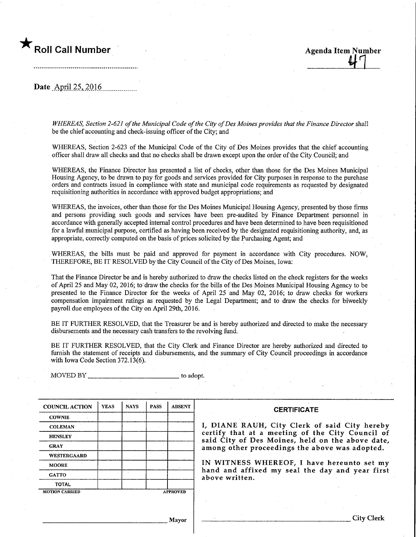Roll Call Number 1988 and 1999 and 1999 and 1999 Agenda Item Number

Date April.25, 2016.

WHEREAS, Section 2-621 of the Municipal Code of the City of Des Moines provides that the Finance Director shall be the chief accounting and check-issuing officer of the City; and

WHEREAS, Section 2-623 of the Municipal Code of the City of Des Moines provides that the chief accounting officer shall draw all checks and that no checks shall be drawn except upon the order of the City Council; and

WHEREAS, the Finance Director has presented a list of checks, other than those for the Des Moines Municipal Housing Agency, to be drawn to pay for goods and services provided for City purposes in response to the purchase orders and contracts issued in compliance with state and municipal code requirements as requested by designated requisitioning authorities in accordance with approved budget appropriations; and

WHEREAS, the invoices, other than those for the Des Moines Municipal Housing Agency, presented by those firms and persons providmg such goods and services have been pre-audited by Finance Department personnel in accordance with generally accepted internal control procedures and have been determined to have been requisitioned for a lawful municipal purpose, certified as having been received by the designated requisitioning authority, and,as appropriate, correctly computed on the basis of prices solicited by the Purchasing Agent; and

WHEREAS, the bills must be paid and approved for payment in accordance with City procedures. NOW, THEREFORE, BE IT RESOLVED by the City Council of the City of Des Moines, Iowa:

That the Finance Director be and is hereby authorized to draw the checks listed on the check registers for the weeks of April 25 and May 02, 2016; to draw the checks for the bills of the Des Moines Municipal Housmg Agency to be presented to the Finance Director for the weeks of April 25 and May 02, 2016; to draw checks for workers compensation impairment ratings as requested by the Legal Department; and to draw the checks for biweekly payroll due employees of the City on April 29th, 2016.

BE IT FURTHER RESOLVED, that the Treasurer be and is hereby authorized and directed to make the necessary disbursements and the necessary cash transfers to the revolving fund.

BE IT FURTHER RESOLVED, that the City Clerk and Finance Director are hereby authorized and directed to furnish the statement of receipts and disbursements, and the summary of City Council proceedings in accordance with Iowa Code Section 372.13(6).

 $MOVED BY$ <sub>2</sub> to adopt. COUNCIL ACTION **COWNIE COLEMAN HENSLEY GRAY** WESTERGAARD **MOORE GATTO** TOTAL YEAS MOTION CARRIED NAYS | PASS **APPROVED** ABSENT Mayor **CERTIFICATE** I, DIANE RAUH, City Clerk of said City hereby certify that at a meeting of the City Council of said City of Des Moines, held on the above date, among other proceedings the above was adopted. IN WITNESS WHEREOF, I have hereunto set my hand and affixed my seal the day and year first above written. .City Clerk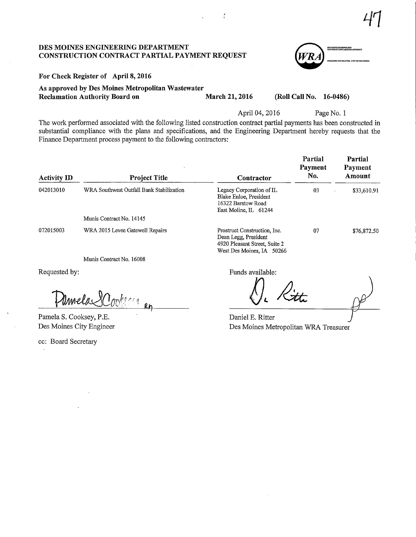47

#### DES MOINES ENGINEERING DEPARTMENT CONSTRUCTION CONTRACT PARTIAL PAYMENT REQUEST

For Check Register of April 8,2016

As approved by Des Moines Metropolitan Wastewater Reclamation Authority Board on March 21, 2016 (Roll Call No. 16-0486)

.<br>DES MONFES METROPOLITA<br>HASTENATER RECLARATIO

April 04, 2016 Page No. 1

The work performed associated with the following listed construction contract partial payments has been constructed in substantial compliance with the plans and specifications, and the Engineering Department hereby requests that the Finance Department process payment to the following contractors:

| <b>Activity ID</b> | <b>Project Title</b>                     | Contractor                                                                                                         | Partial<br>Payment<br>No. | Partial<br>Payment<br>Amount |
|--------------------|------------------------------------------|--------------------------------------------------------------------------------------------------------------------|---------------------------|------------------------------|
| 042013010          | WRA Southwest Outfall Bank Stabilization | Legacy Corporation of IL<br>Blake Enloe, President<br>16322 Barstow Road<br>East Moline, IL 61244                  | 03                        | \$33,610.91                  |
|                    | Munis Contract No. 14145                 |                                                                                                                    |                           |                              |
| 072015003          | WRA 2015 Levee Gatewell Repairs          | Prostruct Construction, Inc.<br>Dean Legg, President<br>4920 Pleasant Street, Suite 2<br>West Des Moines, IA 50266 | 07                        | \$76,872.50                  |
|                    | Munis Contract No. 16008                 |                                                                                                                    |                           |                              |

Requested by:

 $\mathbb{C}^{\mathbb{Z}^k}$  $k$ e $\sim$ a $^{\prime}$  $\frac{4}{\pi}$  Rg

Pamela S. Cooksey, P.E. Des Moines City Engineer

ec: Board Secretary

Funds available:

Q. At

Daniel E. Ritter Des Moines Metropolitan WRA Treasurer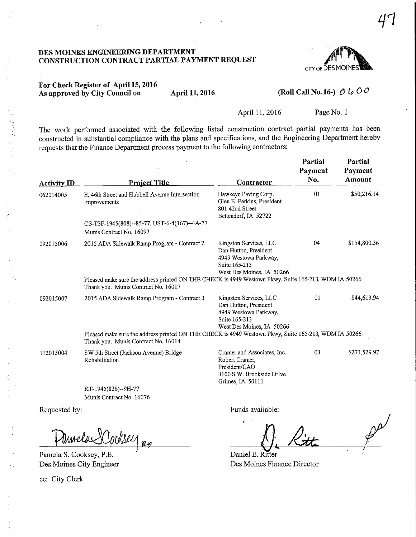#### DES MOINES ENGINEERING DEPARTMENT CONSTRUCTION CONTRACT PARTIAL PAYMENT REQUEST ^



# For Check Register of April 15,2016 As approved by City Council on April 11, 2016 (Roll Call No. 16-)  $\hat{\mathcal{O}}$   $\downarrow \mathcal{O}$  O°

The work performed associated with the following listed construction contract partial payments has been constructed in substantial compliance with the plans and specifications, and the Engineering Department hereby requests that the Finance Department process payment to the following contractors:

| <b>Activity</b> ID | <b>Project Title</b>                                                                                                                         | <b>Contractor</b>                                                                                                      | Partial<br>Payment<br>No. | Partial<br>Payment<br>Amount |
|--------------------|----------------------------------------------------------------------------------------------------------------------------------------------|------------------------------------------------------------------------------------------------------------------------|---------------------------|------------------------------|
| 062014005          | E. 46th Street and Hubbell Avenue Intersection<br>Improvements                                                                               | Hawkeye Paving Corp.<br>Glen E. Perkins, President<br>801 42nd Street<br>Bettendorf, IA 52722                          | 01                        | \$50,216.14                  |
|                    | CS-TSF-1945(808)--85-77, UST-6-4(167)--4A-77<br>Munis Contract No. 16097                                                                     |                                                                                                                        |                           |                              |
| 092015006          | 2015 ADA Sidewalk Ramp Program - Contract 2                                                                                                  | Kingston Services, LLC<br>Dan Hutton, President<br>4949 Westown Parkway,<br>Suite 165-213<br>West Des Moines, IA 50266 | 04                        | \$154,800.36                 |
|                    | Pleased make sure the address printed ON THE CHECK is 4949 Westown Pkwy, Suite 165-213, WDM IA 50266.<br>Thank you. Munis Contract No. 16017 |                                                                                                                        |                           |                              |
| 092015007          | 2015 ADA Sidewalk Ramp Program - Contract 3                                                                                                  | Kingston Services, LLC<br>Dan Hutton, President<br>4949 Westown Parkway,<br>Suite 165-213<br>West Des Moines, IA 50266 | 01                        | \$44,613.94                  |
|                    | Pleased make sure the address printed ON THE CHECK is 4949 Westown Pkwy, Suite 165-213, WDM IA 50266.<br>Thank you. Munis Contract No. 16014 |                                                                                                                        |                           |                              |
| 112015004          | SW 5th Street (Jackson Avenue) Bridge<br>Rehabilitation                                                                                      | Cramer and Associates, Inc.<br>Robert Cramer,<br>President/CAO<br>3100 S.W. Brookside Drive<br>Grimes, IA 50111        | 03                        | \$271,529.97                 |
|                    | RT-1945(826)--9H-77                                                                                                                          |                                                                                                                        |                           |                              |
|                    | Munis Contract No. 16076                                                                                                                     |                                                                                                                        |                           |                              |
| Requested by:      |                                                                                                                                              | Funds available:                                                                                                       |                           |                              |

Pamela S. Cooksey, P.E. Des Moines City Engineer

ec: City Clerk

VLvi AA

Daniel E. Ritter Des Moines Finance Director

April 11, 2016 Page No. 1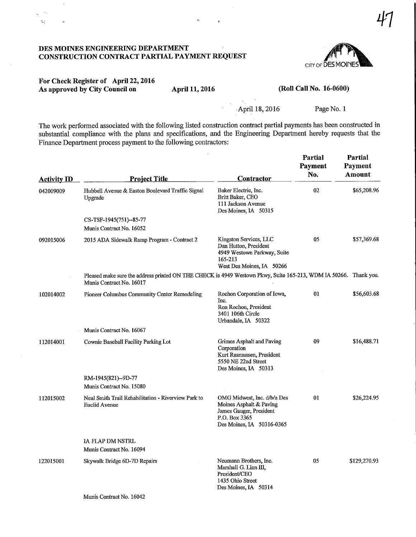#### DES MOINES ENGINEERING DEPARTMENT CONSTRUCTION CONTRACT PARTIAL PAYMENT REQUEST



## For Check Register of April 22,2016 As approved by City Council on April 11, 2016

 $\mathbb{Q}_k$ 

 $\mathbf{r}_i$ 

(Roll Call No. 16-0600)

April 18, 2016 Page No. 1

The work performed associated with the following listed construction contract partial payments has been constructed in substantial compliance with the plans and specifications, and the Engineering Department hereby requests that the Finance Department process payment to the following contractors:

| <b>Activity ID</b> | <b>Project Title</b>                                                                                                                         | <b>Contractor</b>                                                                                                               | Partial<br>Payment<br>No. | Partial<br>Payment<br><b>Amount</b> |
|--------------------|----------------------------------------------------------------------------------------------------------------------------------------------|---------------------------------------------------------------------------------------------------------------------------------|---------------------------|-------------------------------------|
| 042009009          | Hubbell Avenue & Easton Boulevard Traffic Signal<br>Upgrade                                                                                  | Baker Electric, Inc.<br>Britt Baker, CEO<br>111 Jackson Avenue<br>Des Moines, IA 50315                                          | 02                        | \$65,208.96                         |
|                    | CS-TSF-1945(751)--85-77<br>Munis Contract No. 16052                                                                                          |                                                                                                                                 |                           |                                     |
| 092015006          | 2015 ADA Sidewalk Ramp Program - Contract 2                                                                                                  | Kingston Services, LLC<br>Dan Hutton, President<br>4949 Westown Parkway, Suite<br>165-213<br>West Des Moines, IA 50266          | 05                        | \$57,369.68                         |
|                    | Pleased make sure the address printed ON THE CHECK is 4949 Westown Pkwy, Suite 165-213, WDM IA 50266. Thank you.<br>Munis Contract No. 16017 |                                                                                                                                 |                           |                                     |
| 102014002          | <b>Pioneer Columbus Community Center Remodeling</b>                                                                                          | Rochon Corporation of Iowa,<br>Inc.<br>Ron Rochon, President<br>3401 106th Circle<br>Urbandale, IA 50322                        | 01                        | \$56,603.68                         |
|                    | Munis Contract No. 16067                                                                                                                     |                                                                                                                                 |                           |                                     |
| 112014001          | Cownie Baseball Facility Parking Lot                                                                                                         | Grimes Asphalt and Paving<br>Corporation<br>Kurt Rasmussen, President<br>5550 NE 22nd Street<br>Des Moines, IA 50313            | 09                        | \$16,488.71                         |
|                    | RM-1945(821)--9D-77                                                                                                                          |                                                                                                                                 |                           |                                     |
|                    | Munis Contract No. 15080                                                                                                                     |                                                                                                                                 |                           |                                     |
| 112015002          | Neal Smith Trail Rehabilitation - Riverview Park to<br><b>Euclid Avenue</b>                                                                  | OMG Midwest, Inc. d/b/a Des<br>Moines Asphalt & Paving<br>James Gauger, President<br>P.O. Box 3365<br>Des Moines, IA 50316-0365 | 01                        | \$26,224.95                         |
|                    | <b>IA FLAP DM NSTRL</b><br>Munis Contract No. 16094                                                                                          |                                                                                                                                 |                           |                                     |
| 122015001          | Skywalk Bridge 6D-7D Repairs                                                                                                                 | Neumann Brothers, Inc.<br>Marshall G. Linn III,<br>President/CEO<br>1435 Ohio Street<br>Des Moines, IA 50314                    | 05                        | \$129,270.93                        |
|                    | Munis Contract No. 16042                                                                                                                     |                                                                                                                                 |                           |                                     |